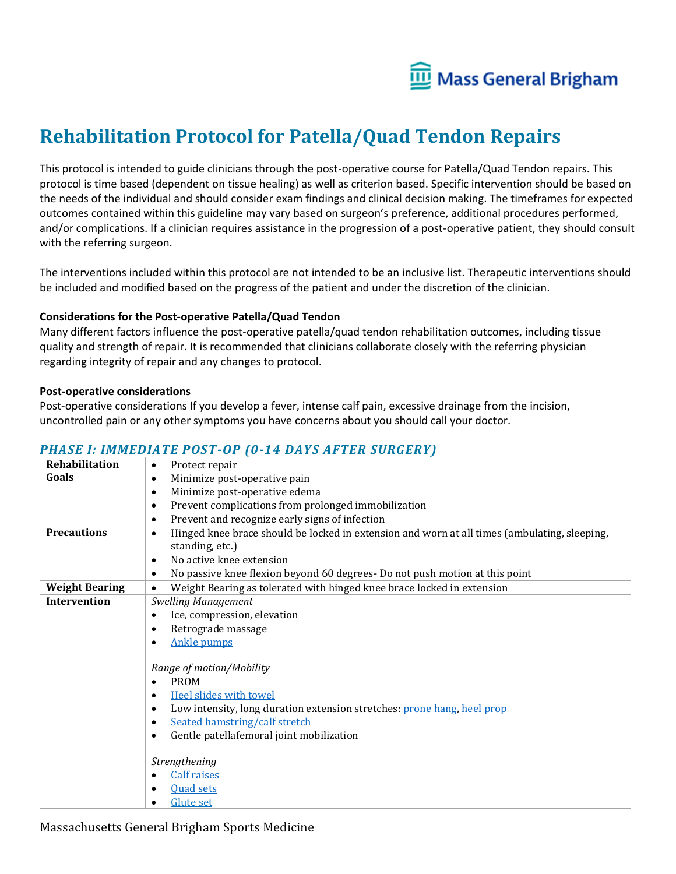

# **Rehabilitation Protocol for Patella/Quad Tendon Repairs**

This protocol is intended to guide clinicians through the post-operative course for Patella/Quad Tendon repairs. This protocol is time based (dependent on tissue healing) as well as criterion based. Specific intervention should be based on the needs of the individual and should consider exam findings and clinical decision making. The timeframes for expected outcomes contained within this guideline may vary based on surgeon's preference, additional procedures performed, and/or complications. If a clinician requires assistance in the progression of a post-operative patient, they should consult with the referring surgeon.

The interventions included within this protocol are not intended to be an inclusive list. Therapeutic interventions should be included and modified based on the progress of the patient and under the discretion of the clinician.

#### **Considerations for the Post-operative Patella/Quad Tendon**

Many different factors influence the post-operative patella/quad tendon rehabilitation outcomes, including tissue quality and strength of repair. It is recommended that clinicians collaborate closely with the referring physician regarding integrity of repair and any changes to protocol.

#### **Post-operative considerations**

Post-operative considerations If you develop a fever, intense calf pain, excessive drainage from the incision, uncontrolled pain or any other symptoms you have concerns about you should call your doctor.

#### *PHASE I: IMMEDIATE POST-OP (0-14 DAYS AFTER SURGERY)*

| Rehabilitation        | Protect repair<br>$\bullet$                                                                               |
|-----------------------|-----------------------------------------------------------------------------------------------------------|
| Goals                 | Minimize post-operative pain<br>$\bullet$                                                                 |
|                       | Minimize post-operative edema<br>$\bullet$                                                                |
|                       | Prevent complications from prolonged immobilization<br>$\bullet$                                          |
|                       | Prevent and recognize early signs of infection<br>$\bullet$                                               |
| <b>Precautions</b>    | Hinged knee brace should be locked in extension and worn at all times (ambulating, sleeping,<br>$\bullet$ |
|                       | standing, etc.)                                                                                           |
|                       | No active knee extension<br>$\bullet$                                                                     |
|                       | No passive knee flexion beyond 60 degrees- Do not push motion at this point<br>$\bullet$                  |
| <b>Weight Bearing</b> | Weight Bearing as tolerated with hinged knee brace locked in extension<br>$\bullet$                       |
| <b>Intervention</b>   | Swelling Management                                                                                       |
|                       | Ice, compression, elevation<br>$\bullet$                                                                  |
|                       | Retrograde massage<br>$\bullet$                                                                           |
|                       | <b>Ankle pumps</b><br>$\bullet$                                                                           |
|                       |                                                                                                           |
|                       | Range of motion/Mobility                                                                                  |
|                       | <b>PROM</b><br>$\bullet$                                                                                  |
|                       | <b>Heel slides with towel</b><br>$\bullet$                                                                |
|                       | Low intensity, long duration extension stretches: prone hang, heel prop<br>$\bullet$                      |
|                       | Seated hamstring/calf stretch<br>$\bullet$                                                                |
|                       | Gentle patellafemoral joint mobilization<br>$\bullet$                                                     |
|                       |                                                                                                           |
|                       | Strengthening                                                                                             |
|                       | <b>Calf raises</b><br>٠                                                                                   |
|                       | <b>Ouad sets</b><br>٠                                                                                     |
|                       | Glute set<br>$\bullet$                                                                                    |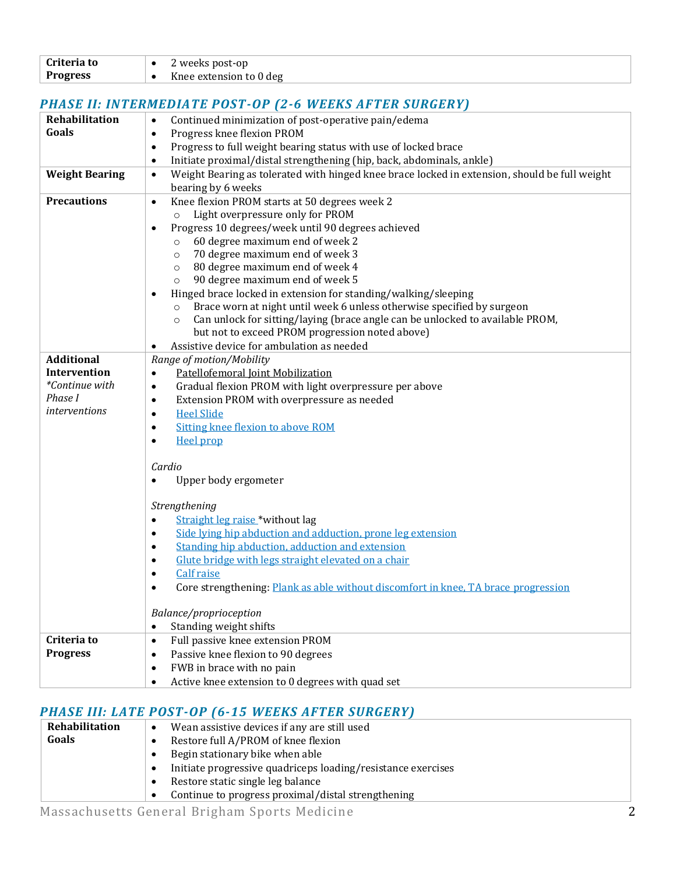| Criteria to     | 2 weeks post-op         |
|-----------------|-------------------------|
| <b>Progress</b> | Knee extension to 0 deg |

## *PHASE II: INTERMEDIATE POST-OP (2-6 WEEKS AFTER SURGERY)*

| Rehabilitation        | Continued minimization of post-operative pain/edema<br>$\bullet$                                           |
|-----------------------|------------------------------------------------------------------------------------------------------------|
| Goals                 | Progress knee flexion PROM<br>$\bullet$                                                                    |
|                       | Progress to full weight bearing status with use of locked brace<br>$\bullet$                               |
|                       | Initiate proximal/distal strengthening (hip, back, abdominals, ankle)<br>$\bullet$                         |
| <b>Weight Bearing</b> | Weight Bearing as tolerated with hinged knee brace locked in extension, should be full weight<br>$\bullet$ |
|                       | bearing by 6 weeks                                                                                         |
| <b>Precautions</b>    | Knee flexion PROM starts at 50 degrees week 2<br>$\bullet$                                                 |
|                       | Light overpressure only for PROM<br>$\circ$                                                                |
|                       | Progress 10 degrees/week until 90 degrees achieved<br>$\bullet$                                            |
|                       | 60 degree maximum end of week 2<br>$\circ$                                                                 |
|                       | 70 degree maximum end of week 3<br>$\circ$                                                                 |
|                       | 80 degree maximum end of week 4<br>$\circ$                                                                 |
|                       | 90 degree maximum end of week 5<br>$\circ$                                                                 |
|                       | Hinged brace locked in extension for standing/walking/sleeping                                             |
|                       | Brace worn at night until week 6 unless otherwise specified by surgeon<br>$\circ$                          |
|                       | Can unlock for sitting/laying (brace angle can be unlocked to available PROM,<br>$\circ$                   |
|                       | but not to exceed PROM progression noted above)                                                            |
|                       | Assistive device for ambulation as needed                                                                  |
| <b>Additional</b>     | Range of motion/Mobility                                                                                   |
| <b>Intervention</b>   | Patellofemoral Joint Mobilization<br>٠                                                                     |
| *Continue with        | Gradual flexion PROM with light overpressure per above<br>٠                                                |
| Phase I               | Extension PROM with overpressure as needed<br>$\bullet$                                                    |
| interventions         | <b>Heel Slide</b><br>٠                                                                                     |
|                       | Sitting knee flexion to above ROM<br>$\bullet$                                                             |
|                       | <b>Heel prop</b><br>$\bullet$                                                                              |
|                       |                                                                                                            |
|                       | Cardio                                                                                                     |
|                       | Upper body ergometer<br>٠                                                                                  |
|                       |                                                                                                            |
|                       | Strengthening                                                                                              |
|                       | Straight leg raise *without lag<br>$\bullet$                                                               |
|                       | Side lying hip abduction and adduction, prone leg extension<br>٠                                           |
|                       | Standing hip abduction, adduction and extension<br>٠                                                       |
|                       | Glute bridge with legs straight elevated on a chair<br>٠                                                   |
|                       | <b>Calf</b> raise<br>$\bullet$                                                                             |
|                       | Core strengthening: Plank as able without discomfort in knee, TA brace progression<br>$\bullet$            |
|                       |                                                                                                            |
|                       | Balance/proprioception                                                                                     |
|                       | Standing weight shifts<br>$\bullet$                                                                        |
| Criteria to           | Full passive knee extension PROM<br>$\bullet$                                                              |
| <b>Progress</b>       | Passive knee flexion to 90 degrees<br>$\bullet$                                                            |
|                       | FWB in brace with no pain<br>$\bullet$                                                                     |
|                       | $\bullet$                                                                                                  |
|                       | Active knee extension to 0 degrees with quad set                                                           |

### *PHASE III: LATE POST-OP (6-15 WEEKS AFTER SURGERY)*

| Rehabilitation | Wean assistive devices if any are still used<br>$\bullet$                 |
|----------------|---------------------------------------------------------------------------|
| Goals          | Restore full A/PROM of knee flexion                                       |
|                | Begin stationary bike when able                                           |
|                | Initiate progressive quadriceps loading/resistance exercises<br>$\bullet$ |
|                | Restore static single leg balance<br>$\bullet$                            |
|                | Continue to progress proximal/distal strengthening<br>$\bullet$           |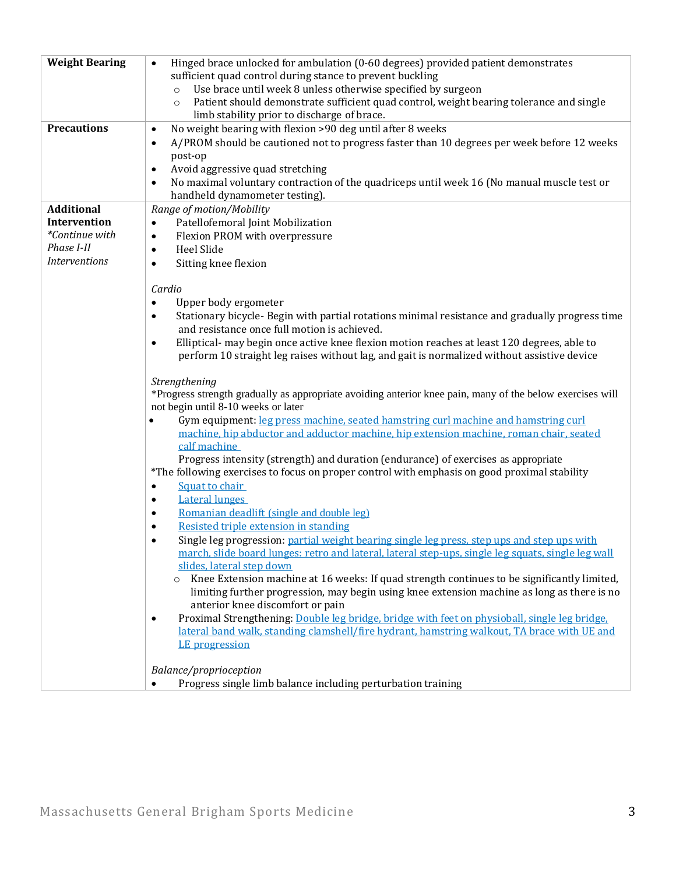| <b>Weight Bearing</b> | Hinged brace unlocked for ambulation (0-60 degrees) provided patient demonstrates<br>$\bullet$                                                                                                        |
|-----------------------|-------------------------------------------------------------------------------------------------------------------------------------------------------------------------------------------------------|
|                       | sufficient quad control during stance to prevent buckling                                                                                                                                             |
|                       | Use brace until week 8 unless otherwise specified by surgeon<br>$\circ$                                                                                                                               |
|                       | Patient should demonstrate sufficient quad control, weight bearing tolerance and single<br>$\circ$                                                                                                    |
| <b>Precautions</b>    | limb stability prior to discharge of brace.                                                                                                                                                           |
|                       | No weight bearing with flexion >90 deg until after 8 weeks<br>$\bullet$<br>A/PROM should be cautioned not to progress faster than 10 degrees per week before 12 weeks                                 |
|                       | $\bullet$<br>post-op                                                                                                                                                                                  |
|                       | Avoid aggressive quad stretching<br>$\bullet$                                                                                                                                                         |
|                       | No maximal voluntary contraction of the quadriceps until week 16 (No manual muscle test or<br>$\bullet$                                                                                               |
|                       | handheld dynamometer testing).                                                                                                                                                                        |
| <b>Additional</b>     | Range of motion/Mobility                                                                                                                                                                              |
| Intervention          | Patellofemoral Joint Mobilization<br>$\bullet$                                                                                                                                                        |
| *Continue with        | Flexion PROM with overpressure<br>$\bullet$                                                                                                                                                           |
| Phase I-II            | Heel Slide<br>$\bullet$                                                                                                                                                                               |
| <b>Interventions</b>  | Sitting knee flexion<br>$\bullet$                                                                                                                                                                     |
|                       |                                                                                                                                                                                                       |
|                       | Cardio                                                                                                                                                                                                |
|                       | Upper body ergometer<br>$\bullet$                                                                                                                                                                     |
|                       | Stationary bicycle- Begin with partial rotations minimal resistance and gradually progress time<br>$\bullet$                                                                                          |
|                       | and resistance once full motion is achieved.                                                                                                                                                          |
|                       | Elliptical- may begin once active knee flexion motion reaches at least 120 degrees, able to<br>$\bullet$                                                                                              |
|                       | perform 10 straight leg raises without lag, and gait is normalized without assistive device                                                                                                           |
|                       |                                                                                                                                                                                                       |
|                       | Strengthening<br>*Progress strength gradually as appropriate avoiding anterior knee pain, many of the below exercises will                                                                            |
|                       | not begin until 8-10 weeks or later                                                                                                                                                                   |
|                       | Gym equipment: leg press machine, seated hamstring curl machine and hamstring curl<br>$\bullet$                                                                                                       |
|                       | machine, hip abductor and adductor machine, hip extension machine, roman chair, seated                                                                                                                |
|                       | calf machine                                                                                                                                                                                          |
|                       | Progress intensity (strength) and duration (endurance) of exercises as appropriate                                                                                                                    |
|                       | *The following exercises to focus on proper control with emphasis on good proximal stability                                                                                                          |
|                       | Squat to chair<br>$\bullet$                                                                                                                                                                           |
|                       | <b>Lateral lunges</b><br>$\bullet$                                                                                                                                                                    |
|                       | Romanian deadlift (single and double leg)<br>$\bullet$                                                                                                                                                |
|                       | Resisted triple extension in standing<br>$\bullet$                                                                                                                                                    |
|                       | Single leg progression: partial weight bearing single leg press, step ups and step ups with<br>$\bullet$                                                                                              |
|                       | march, slide board lunges: retro and lateral, lateral step-ups, single leg squats, single leg wall                                                                                                    |
|                       | slides, lateral step down                                                                                                                                                                             |
|                       | Knee Extension machine at 16 weeks: If quad strength continues to be significantly limited,<br>$\circ$<br>limiting further progression, may begin using knee extension machine as long as there is no |
|                       | anterior knee discomfort or pain                                                                                                                                                                      |
|                       | Proximal Strengthening: Double leg bridge, bridge with feet on physioball, single leg bridge.<br>$\bullet$                                                                                            |
|                       | lateral band walk, standing clamshell/fire hydrant, hamstring walkout, TA brace with UE and                                                                                                           |
|                       | LE progression                                                                                                                                                                                        |
|                       |                                                                                                                                                                                                       |
|                       | Balance/proprioception                                                                                                                                                                                |
|                       | Progress single limb balance including perturbation training<br>$\bullet$                                                                                                                             |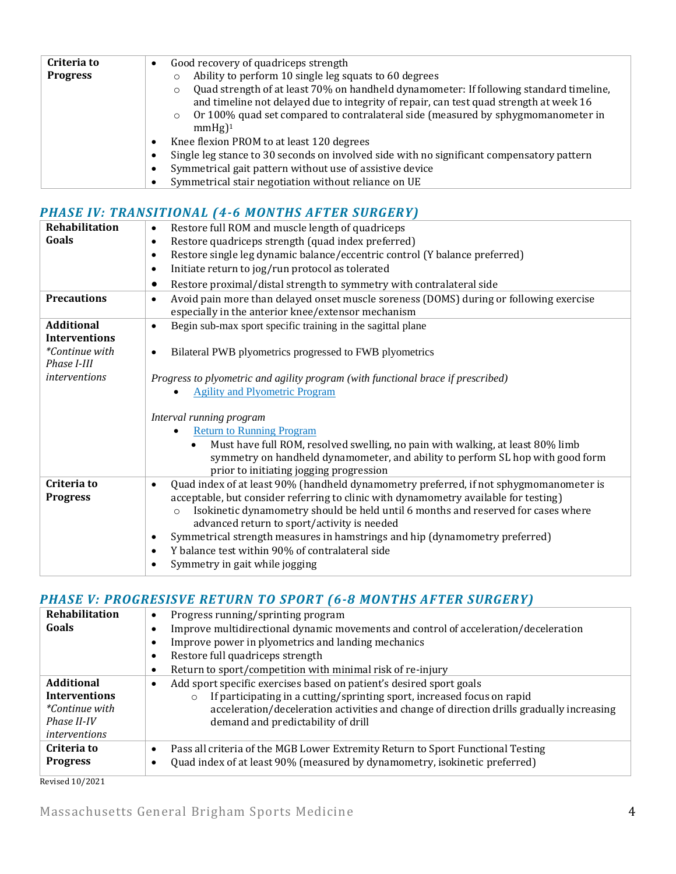| Criteria to     | Good recovery of quadriceps strength<br>$\bullet$                                                      |
|-----------------|--------------------------------------------------------------------------------------------------------|
| <b>Progress</b> | Ability to perform 10 single leg squats to 60 degrees<br>O                                             |
|                 | Quad strength of at least 70% on handheld dynamometer: If following standard timeline,<br>$\circ$      |
|                 | and timeline not delayed due to integrity of repair, can test quad strength at week 16                 |
|                 | o Or 100% quad set compared to contralateral side (measured by sphygmomanometer in                     |
|                 | $mmHg$ <sup>1</sup>                                                                                    |
|                 | Knee flexion PROM to at least 120 degrees<br>٠                                                         |
|                 | Single leg stance to 30 seconds on involved side with no significant compensatory pattern<br>$\bullet$ |
|                 | Symmetrical gait pattern without use of assistive device<br>٠                                          |
|                 | Symmetrical stair negotiation without reliance on UE                                                   |

## *PHASE IV: TRANSITIONAL (4-6 MONTHS AFTER SURGERY)*

| Rehabilitation                            | Restore full ROM and muscle length of quadriceps<br>$\bullet$                                                                                                                                                            |
|-------------------------------------------|--------------------------------------------------------------------------------------------------------------------------------------------------------------------------------------------------------------------------|
| Goals                                     | Restore quadriceps strength (quad index preferred)<br>$\bullet$                                                                                                                                                          |
|                                           | Restore single leg dynamic balance/eccentric control (Y balance preferred)<br>$\bullet$                                                                                                                                  |
|                                           | Initiate return to jog/run protocol as tolerated<br>$\bullet$                                                                                                                                                            |
|                                           | Restore proximal/distal strength to symmetry with contralateral side<br>$\bullet$                                                                                                                                        |
| <b>Precautions</b>                        | Avoid pain more than delayed onset muscle soreness (DOMS) during or following exercise<br>$\bullet$<br>especially in the anterior knee/extensor mechanism                                                                |
| <b>Additional</b><br><b>Interventions</b> | Begin sub-max sport specific training in the sagittal plane<br>$\bullet$                                                                                                                                                 |
| <i>*Continue with</i><br>Phase I-III      | Bilateral PWB plyometrics progressed to FWB plyometrics<br>$\bullet$                                                                                                                                                     |
| <i>interventions</i>                      | Progress to plyometric and agility program (with functional brace if prescribed)                                                                                                                                         |
|                                           | <b>Agility and Plyometric Program</b><br>$\bullet$                                                                                                                                                                       |
|                                           |                                                                                                                                                                                                                          |
|                                           | Interval running program                                                                                                                                                                                                 |
|                                           | <b>Return to Running Program</b>                                                                                                                                                                                         |
|                                           | Must have full ROM, resolved swelling, no pain with walking, at least 80% limb<br>$\bullet$<br>symmetry on handheld dynamometer, and ability to perform SL hop with good form<br>prior to initiating jogging progression |
| Criteria to                               | Quad index of at least 90% (handheld dynamometry preferred, if not sphygmomanometer is<br>$\bullet$                                                                                                                      |
| <b>Progress</b>                           | acceptable, but consider referring to clinic with dynamometry available for testing)                                                                                                                                     |
|                                           | Isokinetic dynamometry should be held until 6 months and reserved for cases where<br>$\circ$<br>advanced return to sport/activity is needed                                                                              |
|                                           | Symmetrical strength measures in hamstrings and hip (dynamometry preferred)<br>$\bullet$                                                                                                                                 |
|                                           | Y balance test within 90% of contralateral side<br>$\bullet$                                                                                                                                                             |
|                                           | Symmetry in gait while jogging<br>$\bullet$                                                                                                                                                                              |
|                                           |                                                                                                                                                                                                                          |

#### *PHASE V: PROGRESISVE RETURN TO SPORT (6-8 MONTHS AFTER SURGERY)*

| Rehabilitation        | Progress running/sprinting program<br>$\bullet$                                              |
|-----------------------|----------------------------------------------------------------------------------------------|
| Goals                 | Improve multidirectional dynamic movements and control of acceleration/deceleration          |
|                       | Improve power in plyometrics and landing mechanics                                           |
|                       | Restore full quadriceps strength                                                             |
|                       | Return to sport/competition with minimal risk of re-injury<br>$\bullet$                      |
| <b>Additional</b>     | Add sport specific exercises based on patient's desired sport goals                          |
| <b>Interventions</b>  | If participating in a cutting/sprinting sport, increased focus on rapid<br>$\circ$           |
| <i>*Continue with</i> | acceleration/deceleration activities and change of direction drills gradually increasing     |
| Phase II-IV           | demand and predictability of drill                                                           |
| <i>interventions</i>  |                                                                                              |
| Criteria to           | Pass all criteria of the MGB Lower Extremity Return to Sport Functional Testing<br>$\bullet$ |
| <b>Progress</b>       | Quad index of at least 90% (measured by dynamometry, isokinetic preferred)                   |
|                       |                                                                                              |

Revised 10/2021

Massachusetts General Brigham Sports Medicine 4